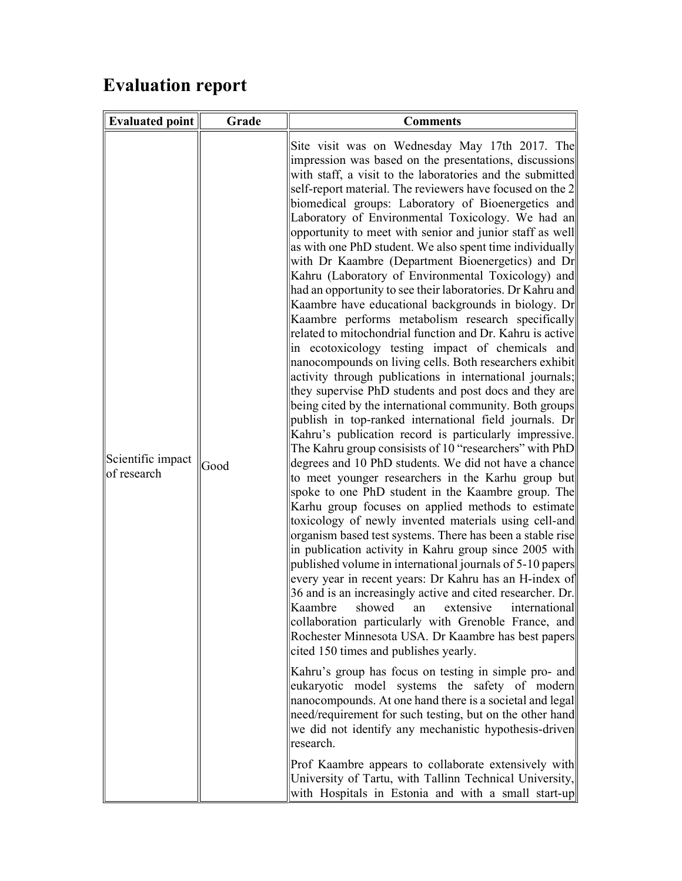## Evaluation report

| <b>Evaluated point</b>           | Grade | <b>Comments</b>                                                                                                                                                                                                                                                                                                                                                                                                                                                                                                                                                                                                                                                                                                                                                                                                                                                                                                                                                                                                                                                                                                                                                                                                                                                                                                                                                                                                                                                                                                                                                                                                                                                                                                                                                                                                                                                                                                                                                                                                                                                                                                |
|----------------------------------|-------|----------------------------------------------------------------------------------------------------------------------------------------------------------------------------------------------------------------------------------------------------------------------------------------------------------------------------------------------------------------------------------------------------------------------------------------------------------------------------------------------------------------------------------------------------------------------------------------------------------------------------------------------------------------------------------------------------------------------------------------------------------------------------------------------------------------------------------------------------------------------------------------------------------------------------------------------------------------------------------------------------------------------------------------------------------------------------------------------------------------------------------------------------------------------------------------------------------------------------------------------------------------------------------------------------------------------------------------------------------------------------------------------------------------------------------------------------------------------------------------------------------------------------------------------------------------------------------------------------------------------------------------------------------------------------------------------------------------------------------------------------------------------------------------------------------------------------------------------------------------------------------------------------------------------------------------------------------------------------------------------------------------------------------------------------------------------------------------------------------------|
| Scientific impact<br>of research | Good  | Site visit was on Wednesday May 17th 2017. The<br>impression was based on the presentations, discussions<br>with staff, a visit to the laboratories and the submitted<br>self-report material. The reviewers have focused on the 2<br>biomedical groups: Laboratory of Bioenergetics and<br>Laboratory of Environmental Toxicology. We had an<br>opportunity to meet with senior and junior staff as well<br>as with one PhD student. We also spent time individually<br>with Dr Kaambre (Department Bioenergetics) and Dr<br>Kahru (Laboratory of Environmental Toxicology) and<br>had an opportunity to see their laboratories. Dr Kahru and<br>Kaambre have educational backgrounds in biology. Dr<br>Kaambre performs metabolism research specifically<br>related to mitochondrial function and Dr. Kahru is active<br>in ecotoxicology testing impact of chemicals and<br>nanocompounds on living cells. Both researchers exhibit<br>activity through publications in international journals;<br>they supervise PhD students and post docs and they are<br>being cited by the international community. Both groups<br>publish in top-ranked international field journals. Dr<br>Kahru's publication record is particularly impressive.<br>The Kahru group consisists of 10 "researchers" with PhD<br>degrees and 10 PhD students. We did not have a chance<br>to meet younger researchers in the Karhu group but<br>spoke to one PhD student in the Kaambre group. The<br>Karhu group focuses on applied methods to estimate<br>toxicology of newly invented materials using cell-and<br>organism based test systems. There has been a stable rise<br>in publication activity in Kahru group since 2005 with<br>published volume in international journals of 5-10 papers<br>every year in recent years: Dr Kahru has an H-index of<br>36 and is an increasingly active and cited researcher. Dr.<br>Kaambre<br>showed an extensive international<br>collaboration particularly with Grenoble France, and<br>Rochester Minnesota USA. Dr Kaambre has best papers<br>cited 150 times and publishes yearly. |
|                                  |       | Kahru's group has focus on testing in simple pro- and<br>eukaryotic model systems the safety of modern<br>nanocompounds. At one hand there is a societal and legal<br>need/requirement for such testing, but on the other hand<br>we did not identify any mechanistic hypothesis-driven<br>research.                                                                                                                                                                                                                                                                                                                                                                                                                                                                                                                                                                                                                                                                                                                                                                                                                                                                                                                                                                                                                                                                                                                                                                                                                                                                                                                                                                                                                                                                                                                                                                                                                                                                                                                                                                                                           |
|                                  |       | Prof Kaambre appears to collaborate extensively with<br>University of Tartu, with Tallinn Technical University,<br>with Hospitals in Estonia and with a small start-up                                                                                                                                                                                                                                                                                                                                                                                                                                                                                                                                                                                                                                                                                                                                                                                                                                                                                                                                                                                                                                                                                                                                                                                                                                                                                                                                                                                                                                                                                                                                                                                                                                                                                                                                                                                                                                                                                                                                         |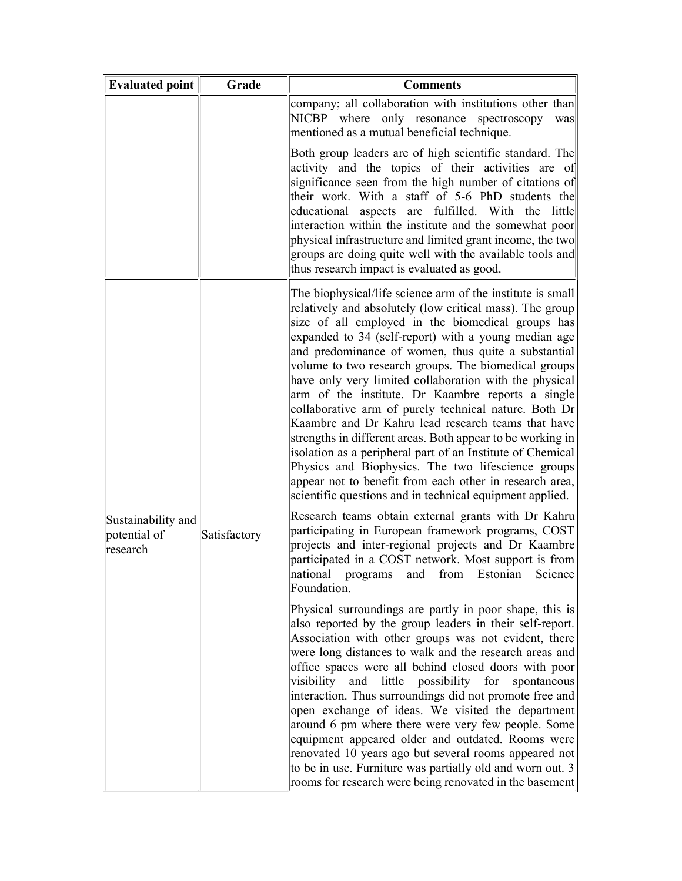| <b>Evaluated point</b>                         | Grade        | <b>Comments</b>                                                                                                                                                                                                                                                                                                                                                                                                                                                                                                                                                                                                                                                                                                                                                                                                                                                                           |
|------------------------------------------------|--------------|-------------------------------------------------------------------------------------------------------------------------------------------------------------------------------------------------------------------------------------------------------------------------------------------------------------------------------------------------------------------------------------------------------------------------------------------------------------------------------------------------------------------------------------------------------------------------------------------------------------------------------------------------------------------------------------------------------------------------------------------------------------------------------------------------------------------------------------------------------------------------------------------|
|                                                |              | company; all collaboration with institutions other than<br>NICBP where only resonance spectroscopy<br>was<br>mentioned as a mutual beneficial technique.                                                                                                                                                                                                                                                                                                                                                                                                                                                                                                                                                                                                                                                                                                                                  |
|                                                |              | Both group leaders are of high scientific standard. The<br>activity and the topics of their activities are of<br>significance seen from the high number of citations of<br>their work. With a staff of 5-6 PhD students the<br>educational aspects are fulfilled. With the little<br>interaction within the institute and the somewhat poor<br>physical infrastructure and limited grant income, the two<br>groups are doing quite well with the available tools and<br>thus research impact is evaluated as good.                                                                                                                                                                                                                                                                                                                                                                        |
| Sustainability and<br>potential of<br>research |              | The biophysical/life science arm of the institute is small<br>relatively and absolutely (low critical mass). The group<br>size of all employed in the biomedical groups has<br>expanded to 34 (self-report) with a young median age<br>and predominance of women, thus quite a substantial<br>volume to two research groups. The biomedical groups<br>have only very limited collaboration with the physical<br>arm of the institute. Dr Kaambre reports a single<br>collaborative arm of purely technical nature. Both Dr<br>Kaambre and Dr Kahru lead research teams that have<br>strengths in different areas. Both appear to be working in<br>isolation as a peripheral part of an Institute of Chemical<br>Physics and Biophysics. The two lifescience groups<br>appear not to benefit from each other in research area,<br>scientific questions and in technical equipment applied. |
|                                                | Satisfactory | Research teams obtain external grants with Dr Kahru<br>participating in European framework programs, COST<br>projects and inter-regional projects and Dr Kaambre<br>participated in a COST network. Most support is from<br>national programs and from Estonian Science<br>Foundation.                                                                                                                                                                                                                                                                                                                                                                                                                                                                                                                                                                                                    |
|                                                |              | Physical surroundings are partly in poor shape, this is<br>also reported by the group leaders in their self-report.<br>Association with other groups was not evident, there<br>were long distances to walk and the research areas and<br>office spaces were all behind closed doors with poor<br>visibility<br>and<br>little possibility for<br>spontaneous<br>interaction. Thus surroundings did not promote free and<br>open exchange of ideas. We visited the department<br>around 6 pm where there were very few people. Some<br>equipment appeared older and outdated. Rooms were<br>renovated 10 years ago but several rooms appeared not<br>to be in use. Furniture was partially old and worn out. 3<br>rooms for research were being renovated in the basement                                                                                                                   |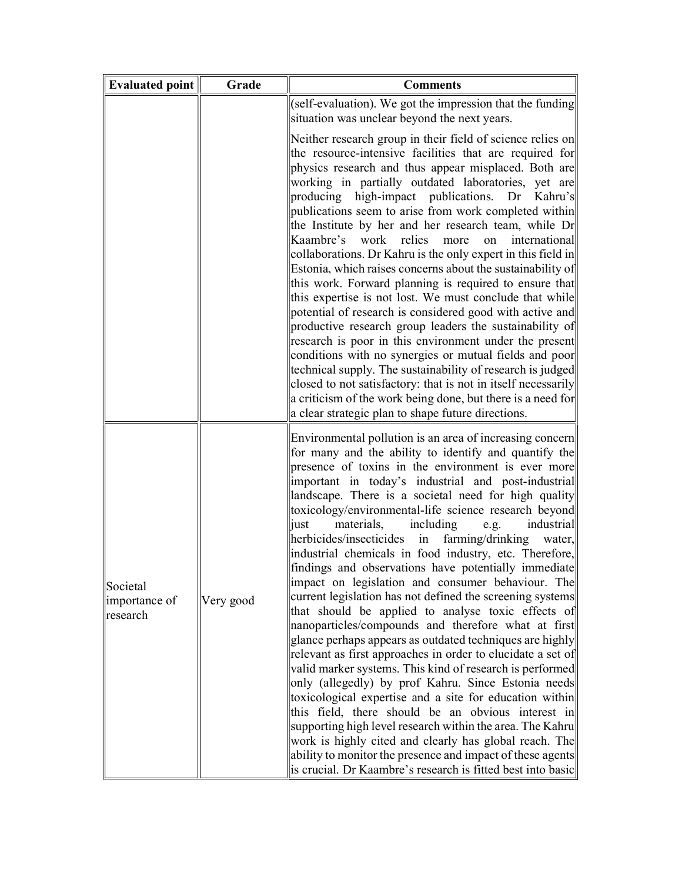| <b>Evaluated point</b>                | Grade     | <b>Comments</b>                                                                                                                                                                                                                                                                                                                                                                                                                                                                                                                                                                                                                                                                                                                                                                                                                                                                                                                                                                                                                                                                                                                                                                                                                                                                                                                                                                                                                             |
|---------------------------------------|-----------|---------------------------------------------------------------------------------------------------------------------------------------------------------------------------------------------------------------------------------------------------------------------------------------------------------------------------------------------------------------------------------------------------------------------------------------------------------------------------------------------------------------------------------------------------------------------------------------------------------------------------------------------------------------------------------------------------------------------------------------------------------------------------------------------------------------------------------------------------------------------------------------------------------------------------------------------------------------------------------------------------------------------------------------------------------------------------------------------------------------------------------------------------------------------------------------------------------------------------------------------------------------------------------------------------------------------------------------------------------------------------------------------------------------------------------------------|
|                                       |           | (self-evaluation). We got the impression that the funding<br>situation was unclear beyond the next years.                                                                                                                                                                                                                                                                                                                                                                                                                                                                                                                                                                                                                                                                                                                                                                                                                                                                                                                                                                                                                                                                                                                                                                                                                                                                                                                                   |
|                                       |           | Neither research group in their field of science relies on<br>the resource-intensive facilities that are required for<br>physics research and thus appear misplaced. Both are<br>working in partially outdated laboratories, yet are<br>producing high-impact publications.<br>Dr<br>Kahru's<br>publications seem to arise from work completed within<br>the Institute by her and her research team, while Dr<br>Kaambre's work relies<br>international<br>more<br>on<br>collaborations. Dr Kahru is the only expert in this field in<br>Estonia, which raises concerns about the sustainability of<br>this work. Forward planning is required to ensure that<br>this expertise is not lost. We must conclude that while<br>potential of research is considered good with active and<br>productive research group leaders the sustainability of<br>research is poor in this environment under the present<br>conditions with no synergies or mutual fields and poor<br>technical supply. The sustainability of research is judged<br>closed to not satisfactory: that is not in itself necessarily<br>a criticism of the work being done, but there is a need for<br>a clear strategic plan to shape future directions.                                                                                                                                                                                                                     |
| Societal<br>importance of<br>research | Very good | Environmental pollution is an area of increasing concern<br>for many and the ability to identify and quantify the<br>presence of toxins in the environment is ever more<br>important in today's industrial and post-industrial<br>landscape. There is a societal need for high quality<br>toxicology/environmental-life science research beyond<br>industrial<br>materials,<br>including<br>just<br>e.g.<br>herbicides/insecticides<br>farming/drinking<br>in<br>water,<br>industrial chemicals in food industry, etc. Therefore,<br>findings and observations have potentially immediate<br>impact on legislation and consumer behaviour. The<br>current legislation has not defined the screening systems<br>that should be applied to analyse toxic effects of<br>nanoparticles/compounds and therefore what at first<br>glance perhaps appears as outdated techniques are highly<br>relevant as first approaches in order to elucidate a set of<br>valid marker systems. This kind of research is performed<br>only (allegedly) by prof Kahru. Since Estonia needs<br>toxicological expertise and a site for education within<br>this field, there should be an obvious interest in<br>supporting high level research within the area. The Kahru<br>work is highly cited and clearly has global reach. The<br>ability to monitor the presence and impact of these agents<br>is crucial. Dr Kaambre's research is fitted best into basic |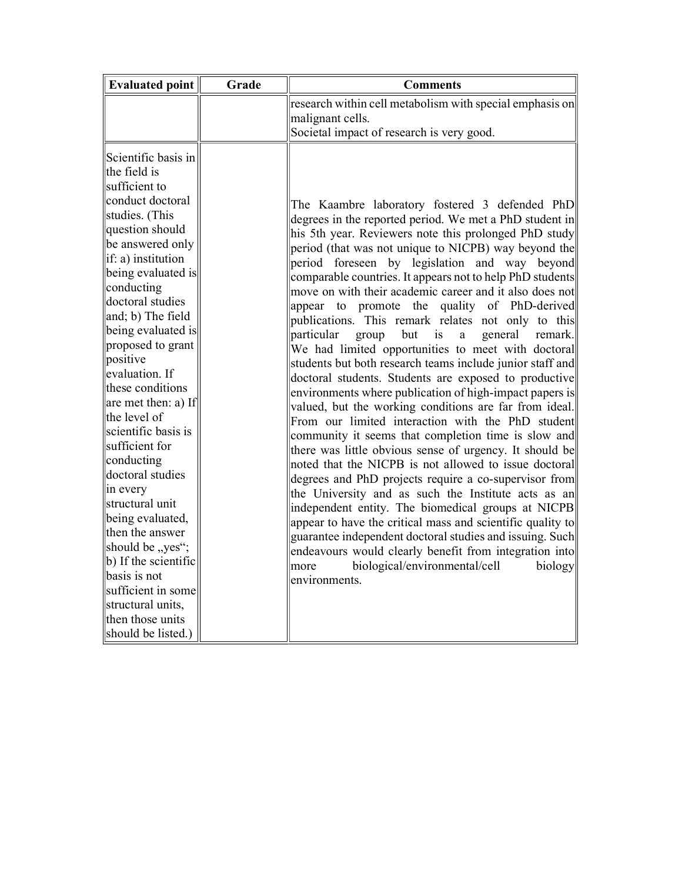| <b>Evaluated point</b>                                                                                                                                                                                                                                                                                                                                                                                                                                                                                                                                                                                                                                                     | Grade | <b>Comments</b>                                                                                                                                                                                                                                                                                                                                                                                                                                                                                                                                                                                                                                                                                                                                                                                                                                                                                                                                                                                                                                                                                                                                                                                                                                                                                                                                                                                                                                                                                                                             |
|----------------------------------------------------------------------------------------------------------------------------------------------------------------------------------------------------------------------------------------------------------------------------------------------------------------------------------------------------------------------------------------------------------------------------------------------------------------------------------------------------------------------------------------------------------------------------------------------------------------------------------------------------------------------------|-------|---------------------------------------------------------------------------------------------------------------------------------------------------------------------------------------------------------------------------------------------------------------------------------------------------------------------------------------------------------------------------------------------------------------------------------------------------------------------------------------------------------------------------------------------------------------------------------------------------------------------------------------------------------------------------------------------------------------------------------------------------------------------------------------------------------------------------------------------------------------------------------------------------------------------------------------------------------------------------------------------------------------------------------------------------------------------------------------------------------------------------------------------------------------------------------------------------------------------------------------------------------------------------------------------------------------------------------------------------------------------------------------------------------------------------------------------------------------------------------------------------------------------------------------------|
|                                                                                                                                                                                                                                                                                                                                                                                                                                                                                                                                                                                                                                                                            |       | research within cell metabolism with special emphasis on                                                                                                                                                                                                                                                                                                                                                                                                                                                                                                                                                                                                                                                                                                                                                                                                                                                                                                                                                                                                                                                                                                                                                                                                                                                                                                                                                                                                                                                                                    |
|                                                                                                                                                                                                                                                                                                                                                                                                                                                                                                                                                                                                                                                                            |       | malignant cells.                                                                                                                                                                                                                                                                                                                                                                                                                                                                                                                                                                                                                                                                                                                                                                                                                                                                                                                                                                                                                                                                                                                                                                                                                                                                                                                                                                                                                                                                                                                            |
|                                                                                                                                                                                                                                                                                                                                                                                                                                                                                                                                                                                                                                                                            |       | Societal impact of research is very good.                                                                                                                                                                                                                                                                                                                                                                                                                                                                                                                                                                                                                                                                                                                                                                                                                                                                                                                                                                                                                                                                                                                                                                                                                                                                                                                                                                                                                                                                                                   |
| Scientific basis in<br>the field is<br>sufficient to<br>conduct doctoral<br>studies. (This<br>question should<br>be answered only<br>if: a) institution<br>being evaluated is<br>conducting<br>doctoral studies<br>and; b) The field<br>being evaluated is<br>proposed to grant<br>positive<br>evaluation. If<br>these conditions<br>are met then: a) If<br>the level of<br>scientific basis is<br>sufficient for<br>conducting<br>doctoral studies<br>in every<br>structural unit<br>being evaluated,<br>then the answer<br>should be "yes";<br>b) If the scientific<br>basis is not<br>sufficient in some<br>structural units,<br>then those units<br>should be listed.) |       | The Kaambre laboratory fostered 3 defended PhD<br>degrees in the reported period. We met a PhD student in<br>his 5th year. Reviewers note this prolonged PhD study<br>period (that was not unique to NICPB) way beyond the<br>period foreseen by legislation and way beyond<br>comparable countries. It appears not to help PhD students<br>move on with their academic career and it also does not<br>appear to promote<br>the quality of PhD-derived<br>publications. This remark relates not only to this<br>particular<br>but<br>is<br>general<br>remark.<br>group<br>a<br>We had limited opportunities to meet with doctoral<br>students but both research teams include junior staff and<br>doctoral students. Students are exposed to productive<br>environments where publication of high-impact papers is<br>valued, but the working conditions are far from ideal.<br>From our limited interaction with the PhD student<br>community it seems that completion time is slow and<br>there was little obvious sense of urgency. It should be<br>noted that the NICPB is not allowed to issue doctoral<br>degrees and PhD projects require a co-supervisor from<br>the University and as such the Institute acts as an<br>independent entity. The biomedical groups at NICPB<br>appear to have the critical mass and scientific quality to<br>guarantee independent doctoral studies and issuing. Such<br>endeavours would clearly benefit from integration into<br>biological/environmental/cell<br>biology<br>more<br>environments. |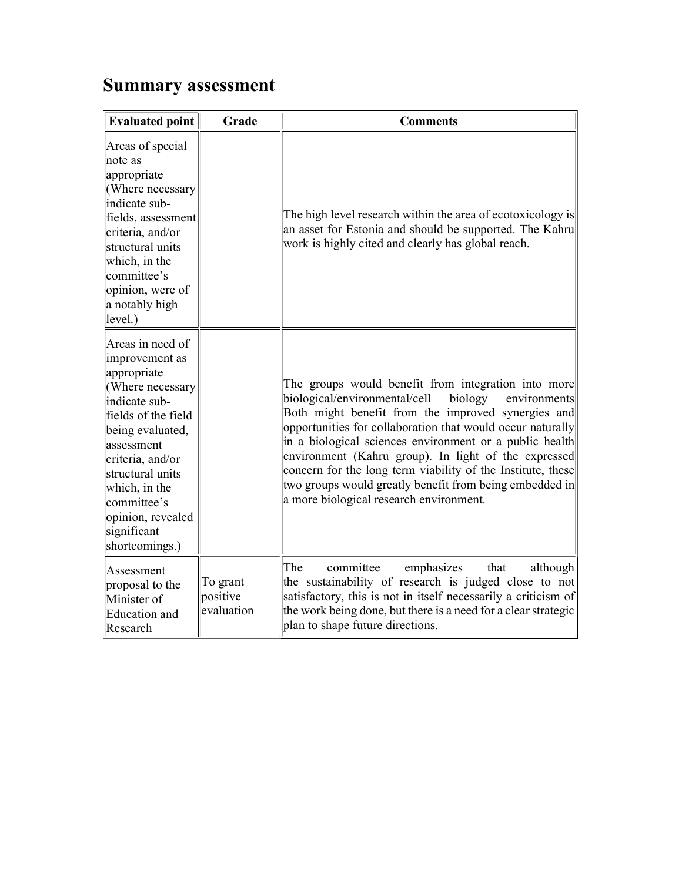## Summary assessment

| <b>Evaluated point</b>                                                                                                                                                                                                                                                         | Grade                              | <b>Comments</b>                                                                                                                                                                                                                                                                                                                                                                                                                                                                                                             |
|--------------------------------------------------------------------------------------------------------------------------------------------------------------------------------------------------------------------------------------------------------------------------------|------------------------------------|-----------------------------------------------------------------------------------------------------------------------------------------------------------------------------------------------------------------------------------------------------------------------------------------------------------------------------------------------------------------------------------------------------------------------------------------------------------------------------------------------------------------------------|
| Areas of special<br>note as<br>appropriate<br>(Where necessary<br>indicate sub-<br>fields, assessment<br>criteria, and/or<br>structural units<br>which, in the<br>committee's<br>opinion, were of<br>a notably high<br>level.)                                                 |                                    | The high level research within the area of ecotoxicology is<br>an asset for Estonia and should be supported. The Kahru<br>work is highly cited and clearly has global reach.                                                                                                                                                                                                                                                                                                                                                |
| Areas in need of<br>improvement as<br>appropriate<br>(Where necessary<br>indicate sub-<br>fields of the field<br>being evaluated,<br>lassessment<br>criteria, and/or<br>structural units<br>which, in the<br>committee's<br>opinion, revealed<br>significant<br>shortcomings.) |                                    | The groups would benefit from integration into more<br>biological/environmental/cell<br>biology<br>environments<br>Both might benefit from the improved synergies and<br>opportunities for collaboration that would occur naturally<br>in a biological sciences environment or a public health<br>environment (Kahru group). In light of the expressed<br>concern for the long term viability of the Institute, these<br>two groups would greatly benefit from being embedded in<br>a more biological research environment. |
| Assessment<br>proposal to the<br>Minister of<br><b>Education</b> and<br>Research                                                                                                                                                                                               | To grant<br>positive<br>evaluation | The<br>committee<br>emphasizes<br>that<br>although<br>the sustainability of research is judged close to not<br>satisfactory, this is not in itself necessarily a criticism of<br>the work being done, but there is a need for a clear strategic<br>plan to shape future directions.                                                                                                                                                                                                                                         |